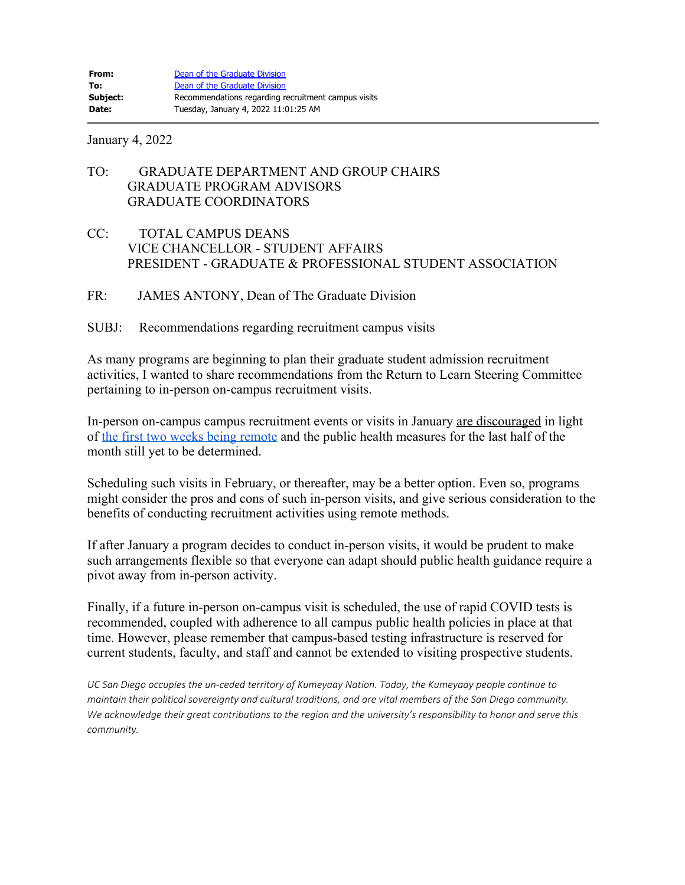January 4, 2022

## TO: GRADUATE DEPARTMENT AND GROUP CHAIRS GRADUATE PROGRAM ADVISORS GRADUATE COORDINATORS

- CC: TOTAL CAMPUS DEANS VICE CHANCELLOR - STUDENT AFFAIRS PRESIDENT - GRADUATE & PROFESSIONAL STUDENT ASSOCIATION
- FR: JAMES ANTONY, Dean of The Graduate Division

## SUBJ: Recommendations regarding recruitment campus visits

As many programs are beginning to plan their graduate student admission recruitment activities, I wanted to share recommendations from the Return to Learn Steering Committee pertaining to in-person on-campus recruitment visits.

In-person on-campus campus recruitment events or visits in January are discouraged in light of [the first two weeks being remote](https://adminrecords.ucsd.edu/Notices/2021/2021-12-21-2.html) and the public health measures for the last half of the month still yet to be determined.

Scheduling such visits in February, or thereafter, may be a better option. Even so, programs might consider the pros and cons of such in-person visits, and give serious consideration to the benefits of conducting recruitment activities using remote methods.

If after January a program decides to conduct in-person visits, it would be prudent to make such arrangements flexible so that everyone can adapt should public health guidance require a pivot away from in-person activity.

Finally, if a future in-person on-campus visit is scheduled, the use of rapid COVID tests is recommended, coupled with adherence to all campus public health policies in place at that time. However, please remember that campus-based testing infrastructure is reserved for current students, faculty, and staff and cannot be extended to visiting prospective students.

*UC San Diego occupies the un-ceded territory of Kumeyaay Nation. Today, the Kumeyaay people continue to maintain their political sovereignty and cultural traditions, and are vital members of the San Diego community. We acknowledge their great contributions to the region and the university's responsibility to honor and serve this community.*